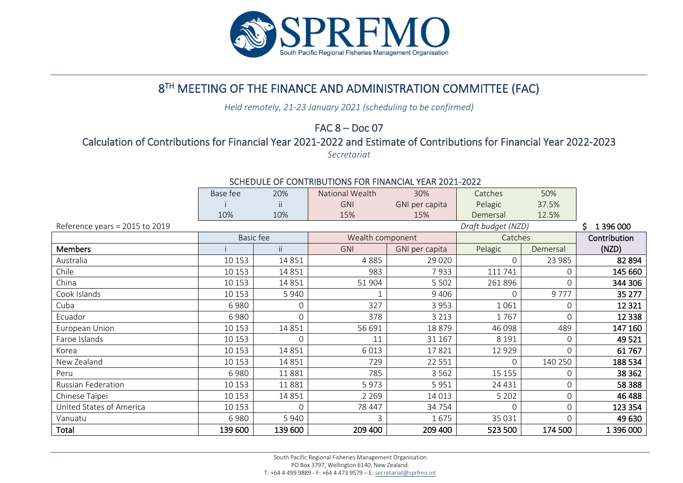

# 8 TH MEETING OF THE FINANCE AND ADMINISTRATION COMMITTEE (FAC)

*Held remotely, 21-23 January 2021 (scheduling to be confirmed)*

FAC 8 – Doc 07

## Calculation of Contributions for Financial Year 2021-2022 and Estimate of Contributions for Financial Year 2022-2023

*Secretariat*

### Base fee 20% National Wealth 30% Catches 50% ii | GNI GNI per capita Pelagic 37.5% 10% 10% 15% 15% Demersal 12.5% Reference years = 2015 to 2019 **S** 1 396 000 Basic fee Wealth component Catches Contribution Members **i** i ii GNI GNI per capita Pelagic Demersal (NZD) Australia 10 153 14 851 4 885 29 020 0 23 985 82 894 Chile 10 153 14 851 983 7 933 111 741 0 145 660 China 10 10 153 | 14 851 | 51 904 | 5502 | 261 896 | 0 | 344 306 | 344 306 Cook Islands 10 153 5 940 1 9 406 0 9 777 35 277 Cuba 6 980 0 327 3 953 1 061 0 12 321 Ecuador 6 980 0 378 3 213 1 767 0 12 338 European Union | 10 153 | 14 851 | 56 691 | 18 879 | 46 098 | 489 | **147 160** Faroe Islands 10 153 0 11 31 167 8 191 0 49 521 Korea 10 153 14 851 6 013 17 821 12 929 0 61 767 New Zealand 10 153 14 851 729 22 551 0 140 250 188 534 Peru 6 980 11 881 785 3 562 15 155 0 38 362 Russian Federation | 10 153 | 11 881 | 5 973 | 5 951 | 24 431 | 0 | **58 388** Chinese Taipei 10 153 14 851 2 269 14 013 5 202 0 46 488 United States of America  $\begin{array}{ccc} | & 10153 & 0 & 78447 & 34754 & 0 & 0 & 0 \end{array}$ Vanuatu 6 980 5 940 3 1 675 35 031 0 49 630 Total 139 600 139 600 209 400 209 400 523 500 174 500 1 396 000

#### SCHEDULE OF CONTRIBUTIONS FOR FINANCIAL YEAR 2021-2022

South Pacific Regional Fisheries Management Organisation PO Box 3797, Wellington 6140, New Zealand. T: +64 4 499 9889 - F: +64 4 473 9579 – E[: secretariat@sprfmo.int](mailto:secretariat@sprfmo.int)